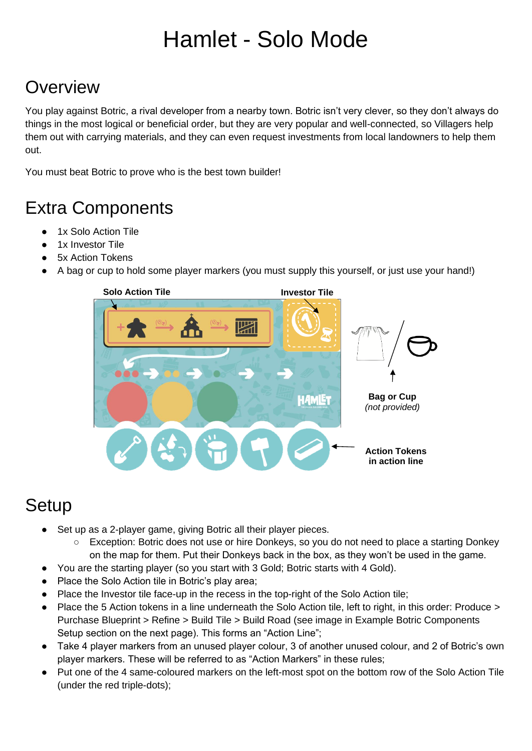# Hamlet - Solo Mode

# **Overview**

You play against Botric, a rival developer from a nearby town. Botric isn't very clever, so they don't always do things in the most logical or beneficial order, but they are very popular and well-connected, so Villagers help them out with carrying materials, and they can even request investments from local landowners to help them out.

You must beat Botric to prove who is the best town builder!

# Extra Components

- 1x Solo Action Tile
- 1x Investor Tile
- **5x Action Tokens**
- A bag or cup to hold some player markers (you must supply this yourself, or just use your hand!)



## **Setup**

- Set up as a 2-player game, giving Botric all their player pieces.
	- Exception: Botric does not use or hire Donkeys, so you do not need to place a starting Donkey on the map for them. Put their Donkeys back in the box, as they won't be used in the game.
- You are the starting player (so you start with 3 Gold; Botric starts with 4 Gold).
- Place the Solo Action tile in Botric's play area;
- Place the Investor tile face-up in the recess in the top-right of the Solo Action tile;
- Place the 5 Action tokens in a line underneath the Solo Action tile, left to right, in this order: Produce > Purchase Blueprint > Refine > Build Tile > Build Road (see image in Example Botric Components Setup section on the next page). This forms an "Action Line";
- Take 4 player markers from an unused player colour, 3 of another unused colour, and 2 of Botric's own player markers. These will be referred to as "Action Markers" in these rules;
- Put one of the 4 same-coloured markers on the left-most spot on the bottom row of the Solo Action Tile (under the red triple-dots);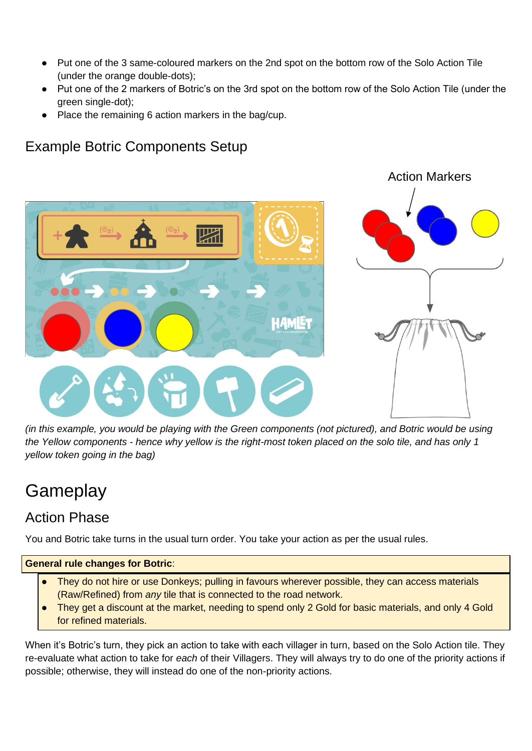- Put one of the 3 same-coloured markers on the 2nd spot on the bottom row of the Solo Action Tile (under the orange double-dots);
- Put one of the 2 markers of Botric's on the 3rd spot on the bottom row of the Solo Action Tile (under the green single-dot);
- Place the remaining 6 action markers in the bag/cup.

## Example Botric Components Setup



*(in this example, you would be playing with the Green components (not pictured), and Botric would be using the Yellow components - hence why yellow is the right-most token placed on the solo tile, and has only 1 yellow token going in the bag)*

## **Gameplay**

## Action Phase

You and Botric take turns in the usual turn order. You take your action as per the usual rules.

#### **General rule changes for Botric**:

- They do not hire or use Donkeys; pulling in favours wherever possible, they can access materials (Raw/Refined) from *any* tile that is connected to the road network.
- They get a discount at the market, needing to spend only 2 Gold for basic materials, and only 4 Gold for refined materials.

When it's Botric's turn, they pick an action to take with each villager in turn, based on the Solo Action tile. They re-evaluate what action to take for *each* of their Villagers. They will always try to do one of the priority actions if possible; otherwise, they will instead do one of the non-priority actions.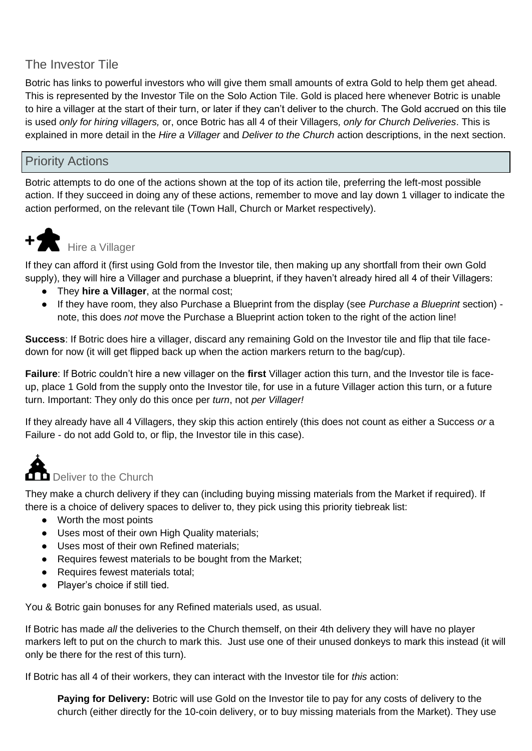## The Investor Tile

Botric has links to powerful investors who will give them small amounts of extra Gold to help them get ahead. This is represented by the Investor Tile on the Solo Action Tile. Gold is placed here whenever Botric is unable to hire a villager at the start of their turn, or later if they can't deliver to the church. The Gold accrued on this tile is used *only for hiring villagers,* or, once Botric has all 4 of their Villagers*, only for Church Deliveries*. This is explained in more detail in the *Hire a Villager* and *Deliver to the Church* action descriptions, in the next section.

#### Priority Actions

Botric attempts to do one of the actions shown at the top of its action tile, preferring the left-most possible action. If they succeed in doing any of these actions, remember to move and lay down 1 villager to indicate the action performed, on the relevant tile (Town Hall, Church or Market respectively).



# **+** Hire a Villager

If they can afford it (first using Gold from the Investor tile, then making up any shortfall from their own Gold supply), they will hire a Villager and purchase a blueprint, if they haven't already hired all 4 of their Villagers:

- They **hire a Villager**, at the normal cost;
- If they have room, they also Purchase a Blueprint from the display (see *Purchase a Blueprint* section) note, this does *not* move the Purchase a Blueprint action token to the right of the action line!

**Success**: If Botric does hire a villager, discard any remaining Gold on the Investor tile and flip that tile facedown for now (it will get flipped back up when the action markers return to the bag/cup).

**Failure**: If Botric couldn't hire a new villager on the **first** Villager action this turn, and the Investor tile is faceup, place 1 Gold from the supply onto the Investor tile, for use in a future Villager action this turn, or a future turn. Important: They only do this once per *turn*, not *per Villager!*

If they already have all 4 Villagers, they skip this action entirely (this does not count as either a Success *or* a Failure - do not add Gold to, or flip, the Investor tile in this case).



They make a church delivery if they can (including buying missing materials from the Market if required). If there is a choice of delivery spaces to deliver to, they pick using this priority tiebreak list:

- Worth the most points
- Uses most of their own High Quality materials;
- Uses most of their own Refined materials;
- Requires fewest materials to be bought from the Market;
- Requires fewest materials total;
- Player's choice if still tied.

You & Botric gain bonuses for any Refined materials used, as usual.

If Botric has made *all* the deliveries to the Church themself, on their 4th delivery they will have no player markers left to put on the church to mark this. Just use one of their unused donkeys to mark this instead (it will only be there for the rest of this turn).

If Botric has all 4 of their workers, they can interact with the Investor tile for *this* action:

**Paying for Delivery:** Botric will use Gold on the Investor tile to pay for any costs of delivery to the church (either directly for the 10-coin delivery, or to buy missing materials from the Market). They use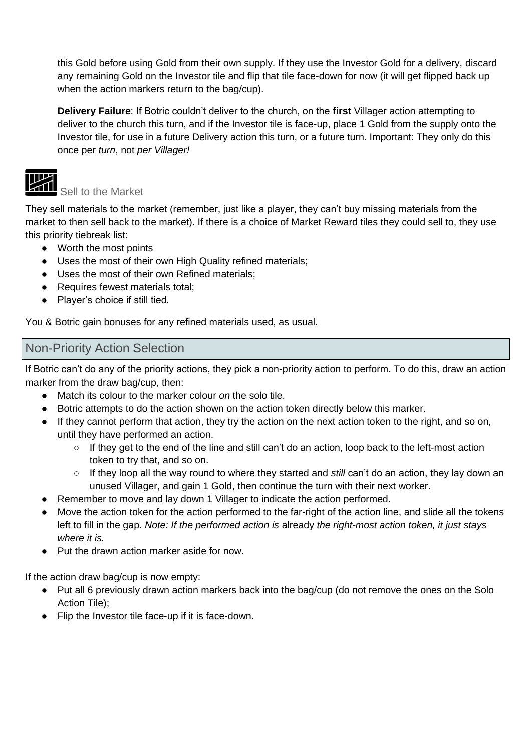this Gold before using Gold from their own supply. If they use the Investor Gold for a delivery, discard any remaining Gold on the Investor tile and flip that tile face-down for now (it will get flipped back up when the action markers return to the bag/cup).

**Delivery Failure**: If Botric couldn't deliver to the church, on the **first** Villager action attempting to deliver to the church this turn, and if the Investor tile is face-up, place 1 Gold from the supply onto the Investor tile, for use in a future Delivery action this turn, or a future turn. Important: They only do this once per *turn*, not *per Villager!*

## ℡

#### Sell to the Market

They sell materials to the market (remember, just like a player, they can't buy missing materials from the market to then sell back to the market). If there is a choice of Market Reward tiles they could sell to, they use this priority tiebreak list:

- Worth the most points
- Uses the most of their own High Quality refined materials;
- Uses the most of their own Refined materials;
- Requires fewest materials total;
- Player's choice if still tied.

You & Botric gain bonuses for any refined materials used, as usual.

#### Non-Priority Action Selection

If Botric can't do any of the priority actions, they pick a non-priority action to perform. To do this, draw an action marker from the draw bag/cup, then:

- Match its colour to the marker colour *on* the solo tile.
- Botric attempts to do the action shown on the action token directly below this marker.
- If they cannot perform that action, they try the action on the next action token to the right, and so on, until they have performed an action.
	- $\circ$  If they get to the end of the line and still can't do an action, loop back to the left-most action token to try that, and so on.
	- If they loop all the way round to where they started and *still* can't do an action, they lay down an unused Villager, and gain 1 Gold, then continue the turn with their next worker.
- Remember to move and lay down 1 Villager to indicate the action performed.
- Move the action token for the action performed to the far-right of the action line, and slide all the tokens left to fill in the gap. *Note: If the performed action is* already *the right-most action token, it just stays where it is.*
- Put the drawn action marker aside for now.

If the action draw bag/cup is now empty:

- Put all 6 previously drawn action markers back into the bag/cup (do not remove the ones on the Solo Action Tile);
- Flip the Investor tile face-up if it is face-down.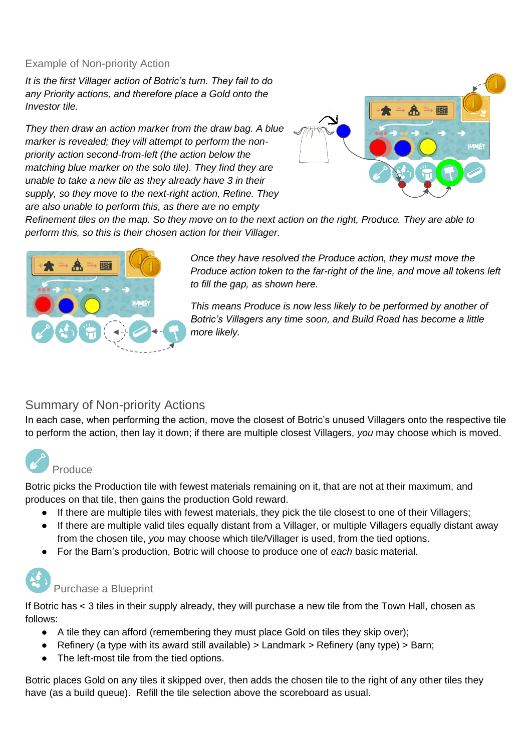#### Example of Non-priority Action

*It is the first Villager action of Botric's turn. They fail to do any Priority actions, and therefore place a Gold onto the Investor tile.*

*They then draw an action marker from the draw bag. A blue marker is revealed; they will attempt to perform the nonpriority action second-from-left (the action below the matching blue marker on the solo tile). They find they are unable to take a new tile as they already have 3 in their supply, so they move to the next-right action, Refine. They are also unable to perform this, as there are no empty* 



*Refinement tiles on the map. So they move on to the next action on the right, Produce. They are able to perform this, so this is their chosen action for their Villager.*



*Once they have resolved the Produce action, they must move the Produce action token to the far-right of the line, and move all tokens left to fill the gap, as shown here.*

*This means Produce is now less likely to be performed by another of Botric's Villagers any time soon, and Build Road has become a little more likely.*

#### Summary of Non-priority Actions

In each case, when performing the action, move the closest of Botric's unused Villagers onto the respective tile to perform the action, then lay it down; if there are multiple closest Villagers, *you* may choose which is moved.



Botric picks the Production tile with fewest materials remaining on it, that are not at their maximum, and produces on that tile, then gains the production Gold reward.

- If there are multiple tiles with fewest materials, they pick the tile closest to one of their Villagers;
- If there are multiple valid tiles equally distant from a Villager, or multiple Villagers equally distant away from the chosen tile, *you* may choose which tile/Villager is used, from the tied options.
- For the Barn's production, Botric will choose to produce one of *each* basic material.

# Purchase a Blueprint

If Botric has < 3 tiles in their supply already, they will purchase a new tile from the Town Hall, chosen as follows:

- A tile they can afford (remembering they must place Gold on tiles they skip over);
- Refinery (a type with its award still available)  $>$  Landmark  $>$  Refinery (any type)  $>$  Barn;
- The left-most tile from the tied options.

Botric places Gold on any tiles it skipped over, then adds the chosen tile to the right of any other tiles they have (as a build queue). Refill the tile selection above the scoreboard as usual.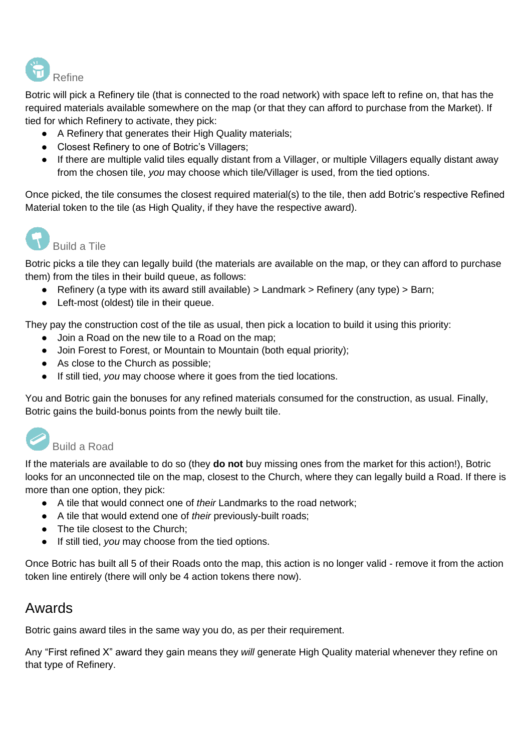

Botric will pick a Refinery tile (that is connected to the road network) with space left to refine on, that has the required materials available somewhere on the map (or that they can afford to purchase from the Market). If tied for which Refinery to activate, they pick:

- A Refinery that generates their High Quality materials;
- Closest Refinery to one of Botric's Villagers;
- If there are multiple valid tiles equally distant from a Villager, or multiple Villagers equally distant away from the chosen tile, *you* may choose which tile/Villager is used, from the tied options.

Once picked, the tile consumes the closest required material(s) to the tile, then add Botric's respective Refined Material token to the tile (as High Quality, if they have the respective award).



## Build a Tile

Botric picks a tile they can legally build (the materials are available on the map, or they can afford to purchase them) from the tiles in their build queue, as follows:

- Refinery (a type with its award still available) > Landmark > Refinery (any type) > Barn;
- Left-most (oldest) tile in their queue.

They pay the construction cost of the tile as usual, then pick a location to build it using this priority:

- Join a Road on the new tile to a Road on the map:
- Join Forest to Forest, or Mountain to Mountain (both equal priority);
- As close to the Church as possible;
- If still tied, *you* may choose where it goes from the tied locations.

You and Botric gain the bonuses for any refined materials consumed for the construction, as usual. Finally, Botric gains the build-bonus points from the newly built tile.

## Build a Road

If the materials are available to do so (they **do not** buy missing ones from the market for this action!), Botric looks for an unconnected tile on the map, closest to the Church, where they can legally build a Road. If there is more than one option, they pick:

- A tile that would connect one of *their* Landmarks to the road network;
- A tile that would extend one of *their* previously-built roads;
- The tile closest to the Church;
- If still tied, *you* may choose from the tied options.

Once Botric has built all 5 of their Roads onto the map, this action is no longer valid - remove it from the action token line entirely (there will only be 4 action tokens there now).

## Awards

Botric gains award tiles in the same way you do, as per their requirement.

Any "First refined X" award they gain means they *will* generate High Quality material whenever they refine on that type of Refinery.